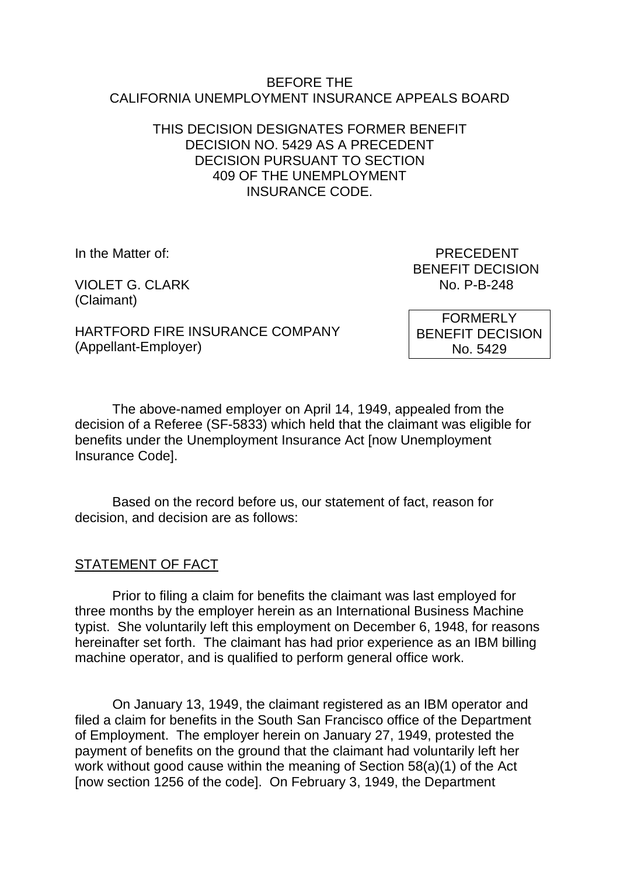#### BEFORE THE CALIFORNIA UNEMPLOYMENT INSURANCE APPEALS BOARD

## THIS DECISION DESIGNATES FORMER BENEFIT DECISION NO. 5429 AS A PRECEDENT DECISION PURSUANT TO SECTION 409 OF THE UNEMPLOYMENT INSURANCE CODE.

VIOLET G. CLARK (Claimant)

In the Matter of: PRECEDENT BENEFIT DECISION<br>No. P-B-248

HARTFORD FIRE INSURANCE COMPANY (Appellant-Employer)

FORMERLY BENEFIT DECISION No. 5429

The above-named employer on April 14, 1949, appealed from the decision of a Referee (SF-5833) which held that the claimant was eligible for benefits under the Unemployment Insurance Act [now Unemployment Insurance Code].

Based on the record before us, our statement of fact, reason for decision, and decision are as follows:

### STATEMENT OF FACT

Prior to filing a claim for benefits the claimant was last employed for three months by the employer herein as an International Business Machine typist. She voluntarily left this employment on December 6, 1948, for reasons hereinafter set forth. The claimant has had prior experience as an IBM billing machine operator, and is qualified to perform general office work.

On January 13, 1949, the claimant registered as an IBM operator and filed a claim for benefits in the South San Francisco office of the Department of Employment. The employer herein on January 27, 1949, protested the payment of benefits on the ground that the claimant had voluntarily left her work without good cause within the meaning of Section 58(a)(1) of the Act [now section 1256 of the code]. On February 3, 1949, the Department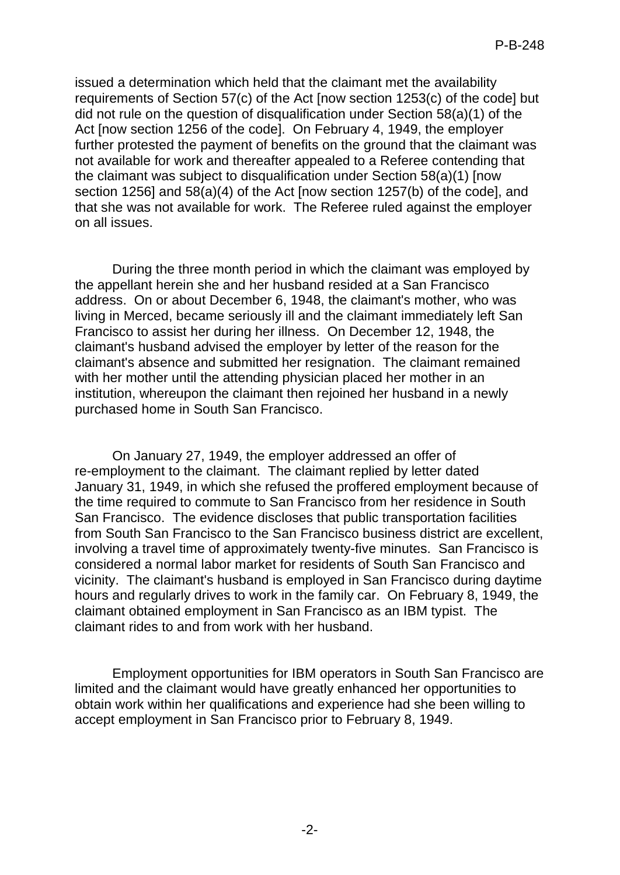issued a determination which held that the claimant met the availability requirements of Section 57(c) of the Act [now section 1253(c) of the code] but did not rule on the question of disqualification under Section 58(a)(1) of the Act [now section 1256 of the code]. On February 4, 1949, the employer further protested the payment of benefits on the ground that the claimant was not available for work and thereafter appealed to a Referee contending that the claimant was subject to disqualification under Section 58(a)(1) [now section 1256] and 58(a)(4) of the Act [now section 1257(b) of the code], and that she was not available for work. The Referee ruled against the employer on all issues.

During the three month period in which the claimant was employed by the appellant herein she and her husband resided at a San Francisco address. On or about December 6, 1948, the claimant's mother, who was living in Merced, became seriously ill and the claimant immediately left San Francisco to assist her during her illness. On December 12, 1948, the claimant's husband advised the employer by letter of the reason for the claimant's absence and submitted her resignation. The claimant remained with her mother until the attending physician placed her mother in an institution, whereupon the claimant then rejoined her husband in a newly purchased home in South San Francisco.

On January 27, 1949, the employer addressed an offer of re-employment to the claimant. The claimant replied by letter dated January 31, 1949, in which she refused the proffered employment because of the time required to commute to San Francisco from her residence in South San Francisco. The evidence discloses that public transportation facilities from South San Francisco to the San Francisco business district are excellent, involving a travel time of approximately twenty-five minutes. San Francisco is considered a normal labor market for residents of South San Francisco and vicinity. The claimant's husband is employed in San Francisco during daytime hours and regularly drives to work in the family car. On February 8, 1949, the claimant obtained employment in San Francisco as an IBM typist. The claimant rides to and from work with her husband.

Employment opportunities for IBM operators in South San Francisco are limited and the claimant would have greatly enhanced her opportunities to obtain work within her qualifications and experience had she been willing to accept employment in San Francisco prior to February 8, 1949.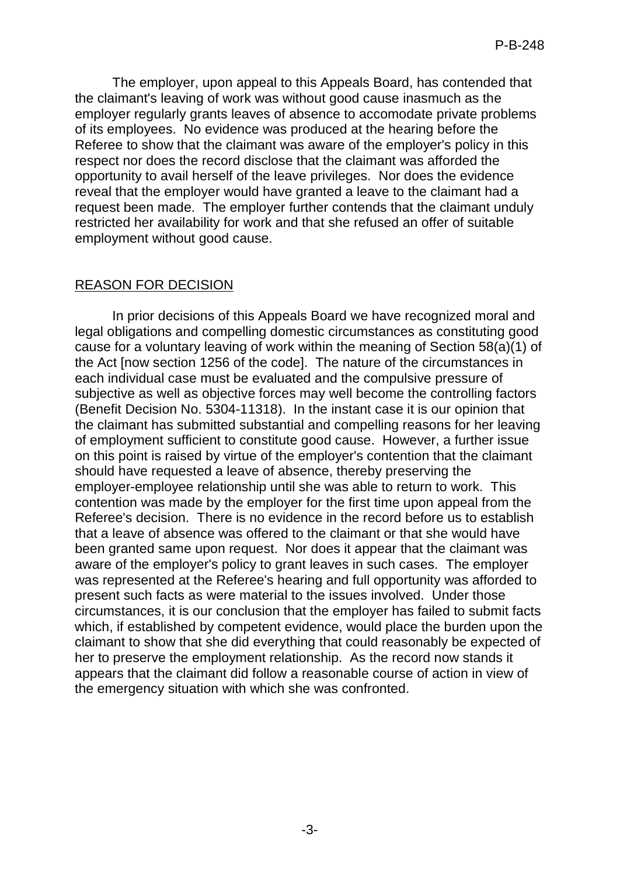The employer, upon appeal to this Appeals Board, has contended that the claimant's leaving of work was without good cause inasmuch as the employer regularly grants leaves of absence to accomodate private problems of its employees. No evidence was produced at the hearing before the Referee to show that the claimant was aware of the employer's policy in this respect nor does the record disclose that the claimant was afforded the opportunity to avail herself of the leave privileges. Nor does the evidence reveal that the employer would have granted a leave to the claimant had a request been made. The employer further contends that the claimant unduly restricted her availability for work and that she refused an offer of suitable employment without good cause.

# REASON FOR DECISION

In prior decisions of this Appeals Board we have recognized moral and legal obligations and compelling domestic circumstances as constituting good cause for a voluntary leaving of work within the meaning of Section 58(a)(1) of the Act [now section 1256 of the code]. The nature of the circumstances in each individual case must be evaluated and the compulsive pressure of subjective as well as objective forces may well become the controlling factors (Benefit Decision No. 5304-11318). In the instant case it is our opinion that the claimant has submitted substantial and compelling reasons for her leaving of employment sufficient to constitute good cause. However, a further issue on this point is raised by virtue of the employer's contention that the claimant should have requested a leave of absence, thereby preserving the employer-employee relationship until she was able to return to work. This contention was made by the employer for the first time upon appeal from the Referee's decision. There is no evidence in the record before us to establish that a leave of absence was offered to the claimant or that she would have been granted same upon request. Nor does it appear that the claimant was aware of the employer's policy to grant leaves in such cases. The employer was represented at the Referee's hearing and full opportunity was afforded to present such facts as were material to the issues involved. Under those circumstances, it is our conclusion that the employer has failed to submit facts which, if established by competent evidence, would place the burden upon the claimant to show that she did everything that could reasonably be expected of her to preserve the employment relationship. As the record now stands it appears that the claimant did follow a reasonable course of action in view of the emergency situation with which she was confronted.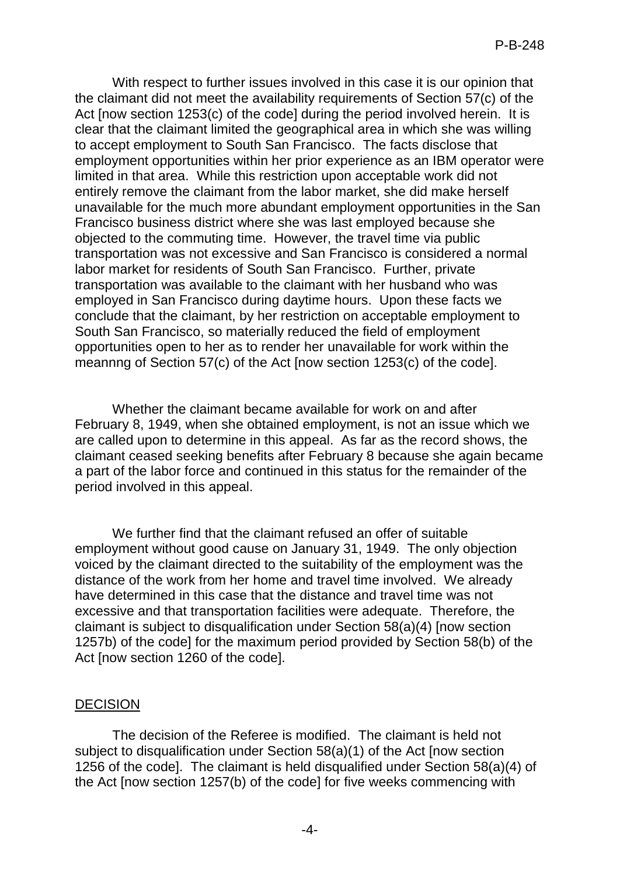With respect to further issues involved in this case it is our opinion that the claimant did not meet the availability requirements of Section 57(c) of the Act [now section 1253(c) of the code] during the period involved herein. It is clear that the claimant limited the geographical area in which she was willing to accept employment to South San Francisco. The facts disclose that employment opportunities within her prior experience as an IBM operator were limited in that area. While this restriction upon acceptable work did not entirely remove the claimant from the labor market, she did make herself unavailable for the much more abundant employment opportunities in the San Francisco business district where she was last employed because she objected to the commuting time. However, the travel time via public transportation was not excessive and San Francisco is considered a normal labor market for residents of South San Francisco. Further, private transportation was available to the claimant with her husband who was employed in San Francisco during daytime hours. Upon these facts we conclude that the claimant, by her restriction on acceptable employment to South San Francisco, so materially reduced the field of employment opportunities open to her as to render her unavailable for work within the meannng of Section 57(c) of the Act [now section 1253(c) of the code].

Whether the claimant became available for work on and after February 8, 1949, when she obtained employment, is not an issue which we are called upon to determine in this appeal. As far as the record shows, the claimant ceased seeking benefits after February 8 because she again became a part of the labor force and continued in this status for the remainder of the period involved in this appeal.

We further find that the claimant refused an offer of suitable employment without good cause on January 31, 1949. The only objection voiced by the claimant directed to the suitability of the employment was the distance of the work from her home and travel time involved. We already have determined in this case that the distance and travel time was not excessive and that transportation facilities were adequate. Therefore, the claimant is subject to disqualification under Section 58(a)(4) [now section 1257b) of the code] for the maximum period provided by Section 58(b) of the Act [now section 1260 of the code].

### DECISION

The decision of the Referee is modified. The claimant is held not subject to disqualification under Section 58(a)(1) of the Act [now section 1256 of the code]. The claimant is held disqualified under Section 58(a)(4) of the Act [now section 1257(b) of the code] for five weeks commencing with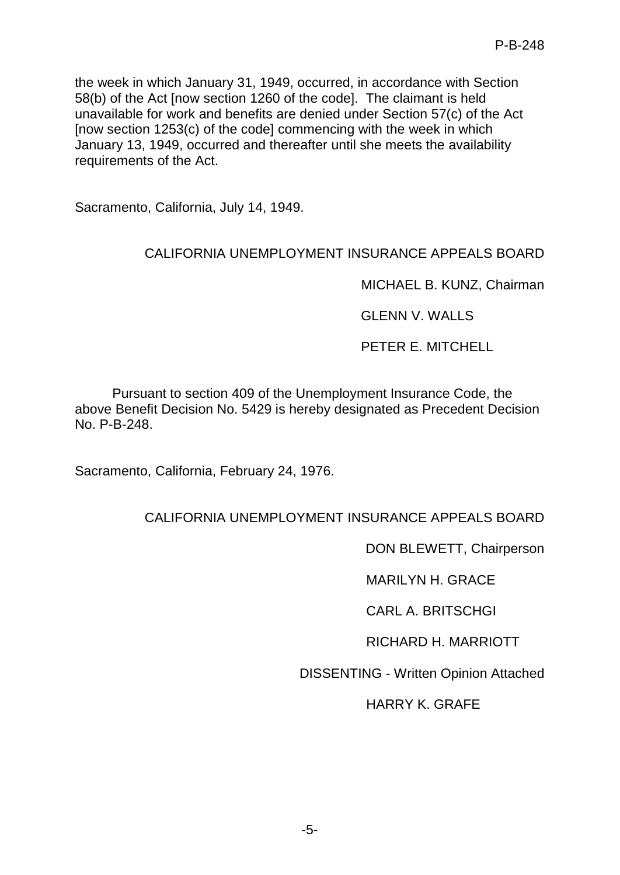the week in which January 31, 1949, occurred, in accordance with Section 58(b) of the Act [now section 1260 of the code]. The claimant is held unavailable for work and benefits are denied under Section 57(c) of the Act [now section 1253(c) of the code] commencing with the week in which January 13, 1949, occurred and thereafter until she meets the availability requirements of the Act.

Sacramento, California, July 14, 1949.

# CALIFORNIA UNEMPLOYMENT INSURANCE APPEALS BOARD

MICHAEL B. KUNZ, Chairman

GLENN V. WALLS

PETER E. MITCHELL

Pursuant to section 409 of the Unemployment Insurance Code, the above Benefit Decision No. 5429 is hereby designated as Precedent Decision No. P-B-248.

Sacramento, California, February 24, 1976.

# CALIFORNIA UNEMPLOYMENT INSURANCE APPEALS BOARD

DON BLEWETT, Chairperson

MARILYN H. GRACE

CARL A. BRITSCHGI

RICHARD H. MARRIOTT

DISSENTING - Written Opinion Attached

HARRY K. GRAFE